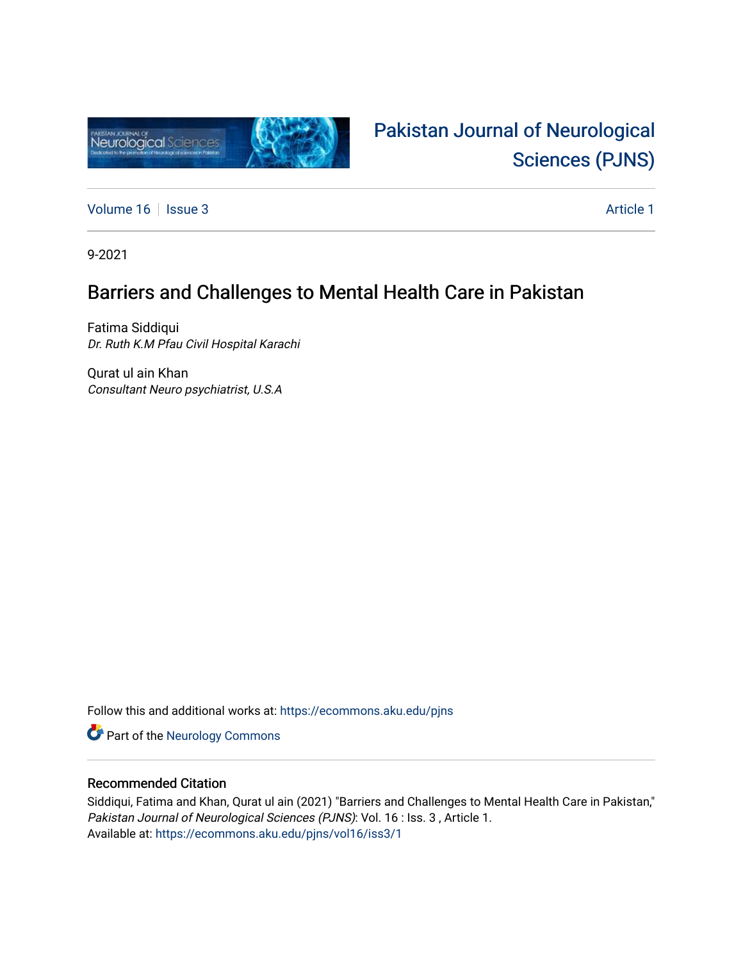

# [Pakistan Journal of Neurological](https://ecommons.aku.edu/pjns)  [Sciences \(PJNS\)](https://ecommons.aku.edu/pjns)

[Volume 16](https://ecommons.aku.edu/pjns/vol16) | [Issue 3](https://ecommons.aku.edu/pjns/vol16/iss3) Article 1

9-2021

### Barriers and Challenges to Mental Health Care in Pakistan

Fatima Siddiqui Dr. Ruth K.M Pfau Civil Hospital Karachi

Qurat ul ain Khan Consultant Neuro psychiatrist, U.S.A

Follow this and additional works at: [https://ecommons.aku.edu/pjns](https://ecommons.aku.edu/pjns?utm_source=ecommons.aku.edu%2Fpjns%2Fvol16%2Fiss3%2F1&utm_medium=PDF&utm_campaign=PDFCoverPages) 

Part of the [Neurology Commons](http://network.bepress.com/hgg/discipline/692?utm_source=ecommons.aku.edu%2Fpjns%2Fvol16%2Fiss3%2F1&utm_medium=PDF&utm_campaign=PDFCoverPages)

### Recommended Citation

Siddiqui, Fatima and Khan, Qurat ul ain (2021) "Barriers and Challenges to Mental Health Care in Pakistan," Pakistan Journal of Neurological Sciences (PJNS): Vol. 16 : Iss. 3 , Article 1. Available at: [https://ecommons.aku.edu/pjns/vol16/iss3/1](https://ecommons.aku.edu/pjns/vol16/iss3/1?utm_source=ecommons.aku.edu%2Fpjns%2Fvol16%2Fiss3%2F1&utm_medium=PDF&utm_campaign=PDFCoverPages)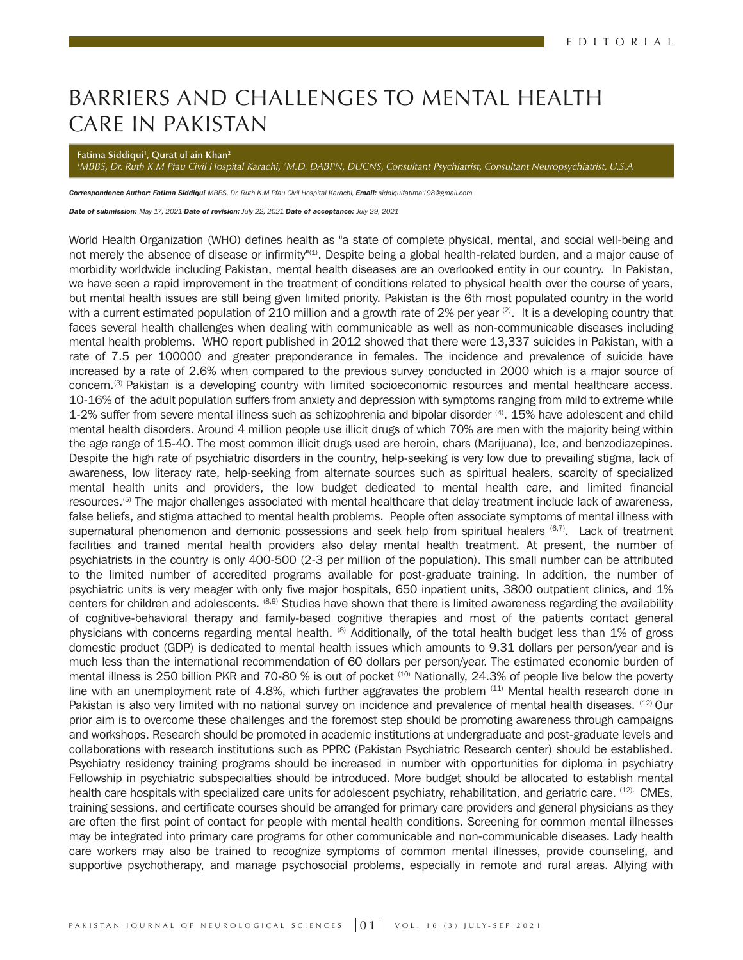## BARRIERS AND CHALLENGES TO MENTAL HEALTH CARE IN PAKISTAN

**Fatima Siddiqui1 , Qurat ul ain Khan2**

*1 MBBS, Dr. Ruth K.M Pfau Civil Hospital Karachi, 2 M.D. DABPN, DUCNS, Consultant Psychiatrist, Consultant Neuropsychiatrist, U.S.A* 

*Correspondence Author: Fatima Siddiqui MBBS, Dr. Ruth K.M Pfau Civil Hospital Karachi, Email: siddiquifatima198@gmail.com* 

*Date of submission: May 17, 2021 Date of revision: July 22, 2021 Date of acceptance: July 29, 2021*

World Health Organization (WHO) defines health as "a state of complete physical, mental, and social well-being and not merely the absence of disease or infirmity"<sup>(1)</sup>. Despite being a global health-related burden, and a major cause of morbidity worldwide including Pakistan, mental health diseases are an overlooked entity in our country. In Pakistan, we have seen a rapid improvement in the treatment of conditions related to physical health over the course of years, but mental health issues are still being given limited priority. Pakistan is the 6th most populated country in the world with a current estimated population of 210 million and a growth rate of 2% per year  $(2)$ . It is a developing country that faces several health challenges when dealing with communicable as well as non-communicable diseases including mental health problems. WHO report published in 2012 showed that there were 13,337 suicides in Pakistan, with a rate of 7.5 per 100000 and greater preponderance in females. The incidence and prevalence of suicide have increased by a rate of 2.6% when compared to the previous survey conducted in 2000 which is a major source of concern.<sup>(3)</sup> Pakistan is a developing country with limited socioeconomic resources and mental healthcare access. 10-16% of the adult population suffers from anxiety and depression with symptoms ranging from mild to extreme while 1-2% suffer from severe mental illness such as schizophrenia and bipolar disorder  $(4)$ . 15% have adolescent and child mental health disorders. Around 4 million people use illicit drugs of which 70% are men with the majority being within the age range of 15-40. The most common illicit drugs used are heroin, chars (Marijuana), Ice, and benzodiazepines. Despite the high rate of psychiatric disorders in the country, help-seeking is very low due to prevailing stigma, lack of awareness, low literacy rate, help-seeking from alternate sources such as spiritual healers, scarcity of specialized mental health units and providers, the low budget dedicated to mental health care, and limited financial resources.<sup>(5)</sup> The major challenges associated with mental healthcare that delay treatment include lack of awareness, false beliefs, and stigma attached to mental health problems. People often associate symptoms of mental illness with supernatural phenomenon and demonic possessions and seek help from spiritual healers  $(6,7)$ . Lack of treatment facilities and trained mental health providers also delay mental health treatment. At present, the number of psychiatrists in the country is only 400-500 (2-3 per million of the population). This small number can be attributed to the limited number of accredited programs available for post-graduate training. In addition, the number of psychiatric units is very meager with only five major hospitals, 650 inpatient units, 3800 outpatient clinics, and 1% centers for children and adolescents. <sup>(8,9)</sup> Studies have shown that there is limited awareness regarding the availability of cognitive-behavioral therapy and family-based cognitive therapies and most of the patients contact general physicians with concerns regarding mental health. <sup>(8)</sup> Additionally, of the total health budget less than 1% of gross domestic product (GDP) is dedicated to mental health issues which amounts to 9.31 dollars per person/year and is much less than the international recommendation of 60 dollars per person/year. The estimated economic burden of mental illness is 250 billion PKR and 70-80 % is out of pocket (10) Nationally, 24.3% of people live below the poverty line with an unemployment rate of 4.8%, which further aggravates the problem  $(11)$  Mental health research done in Pakistan is also very limited with no national survey on incidence and prevalence of mental health diseases. <sup>(12)</sup> Our prior aim is to overcome these challenges and the foremost step should be promoting awareness through campaigns and workshops. Research should be promoted in academic institutions at undergraduate and post-graduate levels and collaborations with research institutions such as PPRC (Pakistan Psychiatric Research center) should be established. Psychiatry residency training programs should be increased in number with opportunities for diploma in psychiatry Fellowship in psychiatric subspecialties should be introduced. More budget should be allocated to establish mental health care hospitals with specialized care units for adolescent psychiatry, rehabilitation, and geriatric care. (12). CMEs, training sessions, and certificate courses should be arranged for primary care providers and general physicians as they are often the first point of contact for people with mental health conditions. Screening for common mental illnesses may be integrated into primary care programs for other communicable and non-communicable diseases. Lady health care workers may also be trained to recognize symptoms of common mental illnesses, provide counseling, and supportive psychotherapy, and manage psychosocial problems, especially in remote and rural areas. Allying with